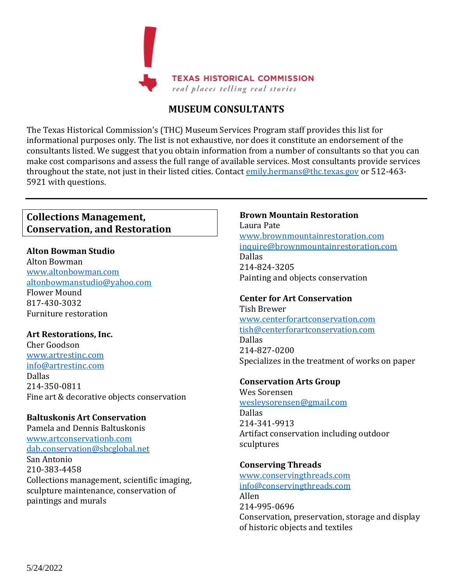

# **MUSEUM CONSULTANTS**

The Texas Historical Commission's (THC) Museum Services Program staff provides this list for informational purposes only. The list is not exhaustive, nor does it constitute an endorsement of the consultants listed. We suggest that you obtain information from a number of consultants so that you can make cost comparisons and assess the full range of available services. Most consultants provide services throughout the state, not just in their listed cities. Contac[t emily.hermans@thc.texas.gov](mailto:emily.hermans@thc.texas.gov) or 512-463-5921 with questions.

# **Collections Management, Conservation, and Restoration**

#### **Alton Bowman Studio**

Alton Bowman [www.altonbowman.com](http://www.altonbowman.com/) [altonbowmanstudio@yahoo.com](mailto:altonbowmanstudio@yahoo.com) Flower Mound 817-430-3032 Furniture restoration

#### **Art Restorations, Inc.**

Cher Goodson [www.artrestinc.com](http://www.artrestinc.com/) [info@artrestinc.com](mailto:info@artrestinc.com) Dallas 214-350-0811 Fine art & decorative objects conservation

#### **Baltuskonis Art Conservation**

Pamela and Dennis Baltuskonis [www.artconservationb.com](http://www.fineartreclaimers.com/) [dab.conservation@sbcglobal.net](mailto:dab.conservation@sbcglobal.net) San Antonio 210-383-4458 Collections management, scientific imaging, sculpture maintenance, conservation of paintings and murals

#### **Brown Mountain Restoration**

Laura Pate [www.brownmountainrestoration.com](http://www.brownmountainrestoration.com/) [inquire@brownmountainrestoration.com](mailto:inquire@brownmountainrestoration.com) Dallas 214-824-3205 Painting and objects conservation

#### **Center for Art Conservation**

Tish Brewer [www.centerforartconservation.com](http://www.centerforartconservation.com/) [tish@centerforartconservation.com](mailto:tish@centerforartconservation.com) Dallas [214-827-0200](tel:214-827-0200) Specializes in the treatment of works on paper

#### **Conservation Arts Group**

Wes Sorensen [wesleysorensen@gmail.com](mailto:wesleysorensen@gmail.com) Dallas [214-341-9913](tel:214-341-9913) Artifact conservation including outdoor sculptures

#### **Conserving Threads**

[www.conservingthreads.com](http://www.conservingthreads.com/) [info@conservingthreads.com](mailto:info@conservingthreads.com)  Allen 214-995-0696 Conservation, preservation, storage and display of historic objects and textiles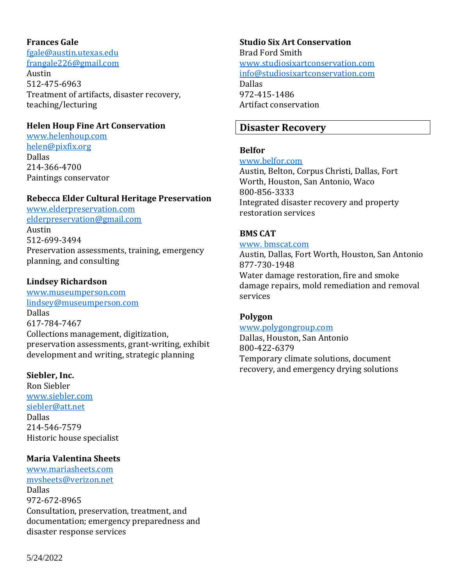#### **Frances Gale**

[fgale@austin.utexas.edu](mailto:fgale@austin.utexas.edu) [frangale226@gmail.com](mailto:frangale226@gmail.com)

Austin 512-475-6963 Treatment of artifacts, disaster recovery, teaching/lecturing

#### **Helen Houp Fine Art Conservation**

[www.helenhoup.com](http://www.helenhoup.com/) [helen@pixfix.org](mailto:helen@pixfix.org) Dallas 214-366-4700 Paintings conservator

#### **Rebecca Elder Cultural Heritage Preservation**

[www.elderpreservation.com](http://elderpreservation.com/) [elderpreservation@gmail.com](mailto:elderpreservation@gmail.com) Austin 512-699-3494 Preservation assessments, training, emergency planning, and consulting

#### **Lindsey Richardson**

[www.museumperson.com](http://www.museumperson.com/) [lindsey@museumperson.com](mailto:lindsey@museumperson.com) Dallas 617-784-7467 Collections management, digitization, preservation assessments, grant-writing, exhibit development and writing, strategic planning

#### **Siebler, Inc.**

Ron Siebler [www.siebler.com](http://www.siebler.com/) siebler@att.net Dallas [214-546-7579](tel:214-546-7579) Historic house specialist

#### **Maria Valentina Sheets**

[www.mariasheets.com](http://www.mariasheets.com/) [mvsheets@verizon.net](mailto:mvsheets@verizon.net) Dallas 972-672-8965 Consultation, preservation, treatment, and documentation; emergency preparedness and disaster response services

**Studio Six Art Conservation** Brad Ford Smith [www.studiosixartconservation.com](http://www.studiosixartconservation.com/) [info@studiosixartconservation.com](mailto:info@studiosixartconservation.com) Dallas 972-415-1486 Artifact conservation

## **Disaster Recovery**

### **Belfor**

#### [www.belfor.com](http://www.belfor.com/)

Austin, Belton, Corpus Christi, Dallas, Fort Worth, Houston, San Antonio, Waco 800-856-3333 Integrated disaster recovery and property restoration services

### **BMS CAT**

#### www. bmscat.com

Austin, Dallas, Fort Worth, Houston, San Antonio 877-730-1948 Water damage restoration, fire and smoke damage repairs, mold remediation and removal services

#### **Polygon**

www.polygongroup.com Dallas, Houston, San Antonio 800-422-6379 Temporary climate solutions, document recovery, and emergency drying solutions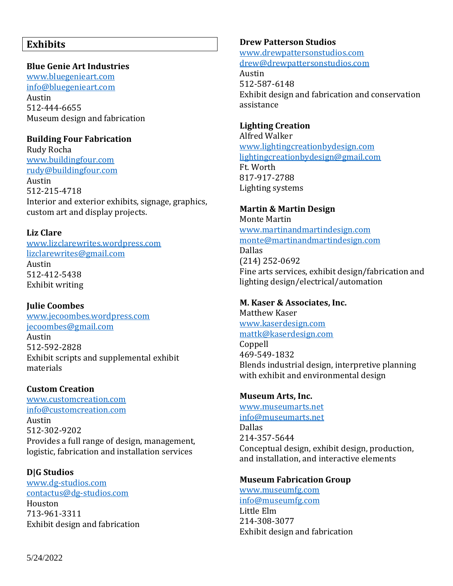## **Exhibits**

#### **Blue Genie Art Industries**

[www.bluegenieart.com](http://bluegenieart.com/) [info@bluegenieart.com](mailto:info@bluegenieart.com) Austin 512-444-6655 Museum design and fabrication

### **Building Four Fabrication**

Rudy Rocha [www.buildingfour.com](http://www.buildingfour.com/) [rudy@buildingfour.com](mailto:rudy@buildingfour.com) Austin 512-215-4718 Interior and exterior exhibits, signage, graphics, custom art and display projects.

#### **Liz Clare**

[www.lizclarewrites.wordpress.com](http://www.lizclarewrites.wordpress.com/) [lizclarewrites@gmail.com](mailto:lizclarewrites@gmail.com) Austin [512-412-5438](tel:512-412-5438) Exhibit writing

### **Julie Coombes**

[www.jecoombes.wordpress.com](https://jecoombes.wordpress.com/) [jecoombes@gmail.com](mailto:jecoombes@gmail.com) Austin 512-592-2828 Exhibit scripts and supplemental exhibit materials

### **Custom Creation**

[www.customcreation.com](http://www.customcreation.com/) [info@customcreation.com](mailto:info@customcreation.com) Austin 512-302-9202 Provides a full range of design, management, logistic, fabrication and installation services

#### **D|G Studios** [www.dg-studios.com](http://www.dg-studios.com/) [contactus@dg-studios.com](mailto:contactus@dg-studios.com) Houston 713-961-3311 Exhibit design and fabrication

### **Drew Patterson Studios**

[www.drewpattersonstudios.com](http://www.drewpattersonstudios.com/) [drew@drewpattersonstudios.com](mailto:drew@drewpattersonstudios.com)

Austin 512-587-6148 Exhibit design and fabrication and conservation assistance

## **Lighting Creation**

Alfred Walker [www.lightingcreationbydesign.com](http://www.lightingcreationbydesign.com/) [lightingcreationbydesign@gmail.com](mailto:lightingcreationbydesign@gmail.com) [Ft.](mailto:museumbusiness@yahoo.com) Worth 817-917-2788 Lighting systems

## **Martin & Martin Design**

Monte Martin [www.martinandmartindesign.com](http://www.martinandmartindesign.com/) [monte@martinandmartindesign.com](mailto:monte@martinandmartindesign.com) Dallas (214) 252-0692 Fine arts services, exhibit design/fabrication and lighting design/electrical/automation

### **M. Kaser & Associates, Inc.**

Matthew Kaser [www.kaserdesign.com](http://www.kaserdesign.com/) [mattk@kaserdesign.com](mailto:mattk@kaserdesign.com)

Coppell 469-549-1832 Blends industrial design, interpretive planning with exhibit and environmental design

### **Museum Arts, Inc.**

[www.museumarts.net](http://www.museumarts.net/) [info@museumarts.net](mailto:info@museumarts.net) Dallas 214-357-5644 Conceptual design, exhibit design, production, and installation, and interactive elements

### **Museum Fabrication Group**

[www.museumfg.com](http://www.museumfg.com/) [info@museumfg.com](mailto:info@museumfg.com) Little Elm 214-308-3077 Exhibit design and fabrication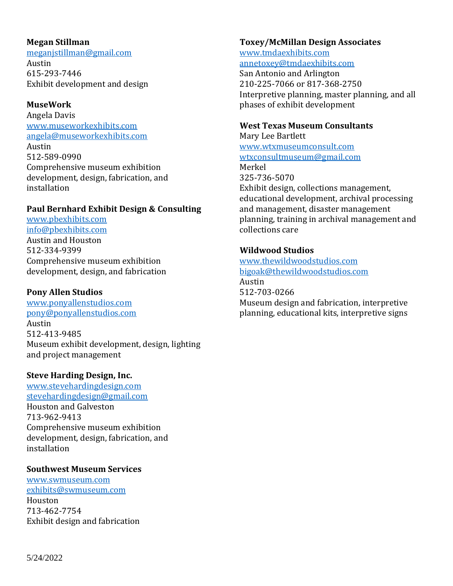#### **Megan Stillman**

[meganjstillman@gmail.com](mailto:meganjstillman@gmail.com) Austin 615-293-7446 Exhibit development and design

#### **MuseWork**

Angela Davis [www.museworkexhibits.com](http://www.museworkexhibits.com/) [angela@museworkexhibits.com](mailto:angela@museworkexhibits.com) Austin [512-589-0990](tel:512-589-0990) Comprehensive museum exhibition development, design, fabrication, and installation

### **Paul Bernhard Exhibit Design & Consulting**

[www.pbexhibits.com](http://www.pbexhibits.com/) [info@pbexhibits.com](mailto:info@pbexhibits.com) Austin and Houston 512-334-9399 Comprehensive museum exhibition development, design, and fabrication

### **Pony Allen Studios**

[www.ponyallenstudios.com](http://ponyallenstudios.com/) [pony@ponyallenstudios.com](mailto:pony@ponyallenstudios.com) Austin 512-413-9485 Museum exhibit development, design, lighting and project management

### **Steve Harding Design, Inc.**

[www.stevehardingdesign.com](http://www.stevehardingdesign.com/)  [stevehardingdesign@gmail.com](mailto:stevehardingdesign@gmail.com) Houston and Galveston 713-962-9413 Comprehensive museum exhibition development, design, fabrication, and installation

#### **Southwest Museum Services**

[www.swmuseum.com](http://www.swmuseum.com/) [exhibits@swmuseum.com](mailto:exhibits@swmuseum.com) Houston 713-462-7754 Exhibit design and fabrication

#### **Toxey/McMillan Design Associates** [www.tmdaexhibits.com](http://www.tmdaexhibits.com/)

[annetoxey@tmdaexhibits.com](mailto:annetoxey@tmdaexhibits.com)

San Antonio and Arlington 210-225-7066 or 817-368-2750 Interpretive planning, master planning, and all phases of exhibit development

### **West Texas Museum Consultants**

Mary Lee Bartlett [www.wtxmuseumconsult.com](http://www.wtxmuseumconsult.com/) [wtxconsultmuseum@gmail.com](mailto:wtxconsultmuseum@gmail.com) Merkel 325-736-5070 Exhibit design, collections management, educational development, archival processing and management, disaster management planning, training in archival management and collections care

## **Wildwood Studios**

[www.thewildwoodstudios.com](http://www.thewildwoodstudios.com/) [bigoak@thewildwoodstudios.com](mailto:bigoak@thewildwoodstudios.com) Austin 512-703-0266 Museum design and fabrication, interpretive planning, educational kits, interpretive signs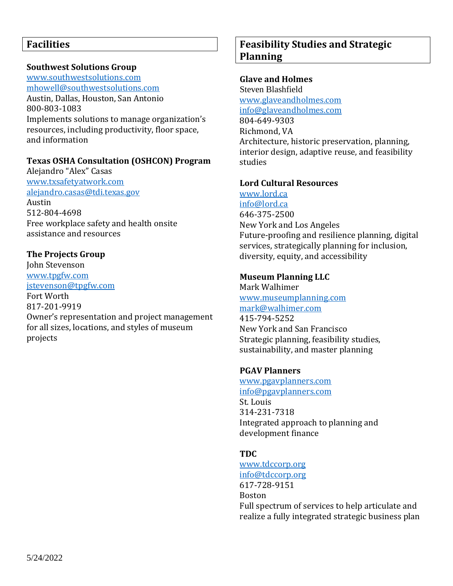### **Southwest Solutions Group**

[www.southwestsolutions.com](http://www.southwestsolutions.com/) [mhowell@southwestsolutions.com](mailto:mhowell@southwestsolutions.com) Austin, Dallas, Houston, San Antonio 800-803-1083 Implements solutions to manage organization's resources, including productivity, floor space, and information

### **Texas OSHA Consultation (OSHCON) Program**

Alejandro "Alex" Casas [www.txsafetyatwork.com](http://www.txsafetyatwork.com/) [alejandro.casas@tdi.texas.gov](mailto:alejandro.casas@tdi.texas.gov) Austin 512-804-4698 Free workplace safety and health onsite assistance and resources

### **The Projects Group**

John Stevenson [www.tpgfw.com](http://www.tpgfw.com/) [jstevenson@tpgfw.com](mailto:jstevenson@tpgfw.com) Fort Worth 817-201-9919 Owner's representation and project management for all sizes, locations, and styles of museum projects

# **Feasibility Studies and Strategic Planning**

#### **Glave and Holmes**

Steven Blashfield [www.glaveandholmes.com](https://www.glaveandholmes.com/profile/) [info@glaveandholmes.com](mailto:info@glaveandholmes.com) 804-649-9303 Richmond, VA Architecture, historic preservation, planning, interior design, adaptive reuse, and feasibility studies

### **Lord Cultural Resources**

[www.lord.ca](http://www.lord.ca/) [info@lord.ca](mailto:info@lord.ca) 646-375-2500 New York and Los Angeles Future-proofing and resilience planning, digital services, strategically planning for inclusion, diversity, equity, and accessibility

### **Museum Planning LLC**

Mark Walhimer [www.museumplanning.com](http://www.museumplanning.com/) [mark@walhimer.com](mailto:mark@walhimer.com) 415-794-5252 New York and San Francisco Strategic planning, feasibility studies, sustainability, and master planning

### **PGAV Planners**

[www.pgavplanners.com](http://www.pgavplanners.com/) [info@pgavplanners.com](mailto:info@pgavplanners.com) St. Louis 314-231-7318 Integrated approach to planning and development finance

### **TDC**

[www.tdccorp.org](http://www.tdccorp.org/) [info@tdccorp.org](mailto:info@tdccorp.org) 617-728-9151 Boston Full spectrum of services to help articulate and realize a fully integrated strategic business plan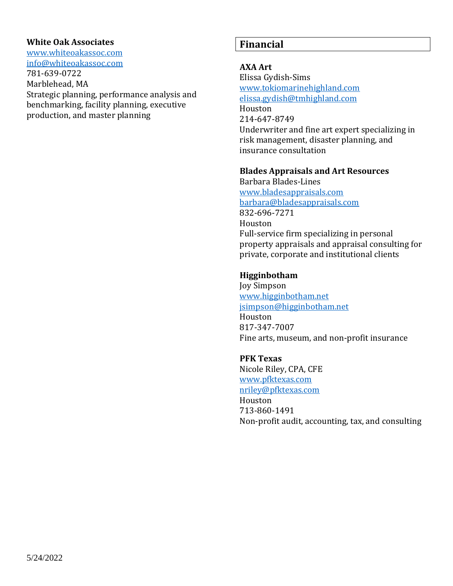#### **White Oak Associates**

www.whiteoakassoc.com [info@whiteoakassoc.com](mailto:info@whiteoakassoc.com?subject=Inquiry%20from%20website)

781-639-0722 Marblehead, MA Strategic planning, performance analysis and benchmarking, facility planning, executive production, and master planning

## **Financial**

### **AXA Art**

Elissa Gydish-Sims [www.tokiomarinehighland.com](http://www.axal.com/) [elissa.gydish@tmhighland.com](mailto:elissa.gydish@tmhighland.com) Houston 214-647-8749 Underwriter and fine art expert specializing in risk management, disaster planning, and insurance consultation

#### **Blades Appraisals and Art Resources**

Barbara Blades-Lines [www.bladesappraisals.com](http://www.bladesappraisals.com/) [barbara@bladesappraisals.com](mailto:barbara@bladesappraisals.com) 832-696-7271 Houston Full-service firm specializing in personal property appraisals and appraisal consulting for private, corporate and institutional clients

#### **Higginbotham**

Joy Simpson [www.higginbotham.net](http://www.higginbotham.net/) [jsimpson@higginbotham.net](mailto:jsimpson@higginbotham.net) Houston 817-347-7007 Fine arts, museum, and non-profit insurance

#### **PFK Texas**

Nicole Riley, CPA, CFE [www.pfktexas.com](http://www.pfktexas.com/) [nriley@pfktexas.com](mailto:nriley@pfktexas.com) Houston 713-860-1491 Non-profit audit, accounting, tax, and consulting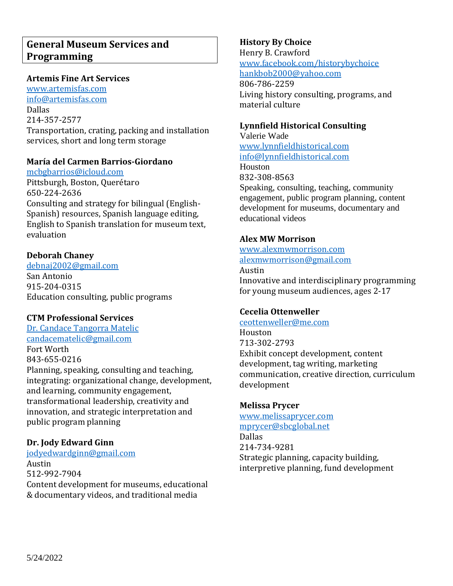#### **Artemis Fine Art Services**

[www.artemisfas.com](http://www.artemisfas.com/) [info@artemisfas.com](mailto:%20info@artemisfas.com) Dallas 214-357-2577 Transportation, crating, packing and installation services, short and long term storage

### **María del Carmen Barrios-Giordano**

[mcbgbarrios@icloud.com](mailto:mcbgbarrios@icloud.com) Pittsburgh, Boston, Querétaro 650-224-2636 Consulting and strategy for bilingual (English-Spanish) resources, Spanish language editing, English to Spanish translation for museum text, evaluation

### **Deborah Chaney**

[debnaj2002@gmail.com](mailto:debnaj2002@gmail.com) San Antonio 915-204-0315 Education consulting, public programs

#### **CTM Professional Services**

Dr. Candace Tangorra Matelic [candacematelic@gmail.com](mailto:candacematelic@gmail.com) Fort Worth 843-655-0216 Planning, speaking, consulting and teaching, integrating: organizational change, development, and learning, community engagement, transformational leadership, creativity and innovation, and strategic interpretation and public program planning

## **Dr. Jody Edward Ginn**

[jodyedwardginn@gmail.com](mailto:jodyedwardginn@gmail.coom) Austin 512-992-7904 Content development for museums, educational & documentary videos, and traditional media

## **History By Choice**

Henry B. Crawford [www.facebook.com/historybychoice](https://www.facebook.com/historybychoice/) [hankbob2000@yahoo.com](mailto:hankbob2000@yahoo.com)

806-786-2259 Living history consulting, programs, and material culture

### **Lynnfield Historical Consulting**

Valerie Wade [www.lynnfieldhistorical.com](http://www.lynnfieldhistorical.com/) [info@lynnfieldhistorical.com](mailto:info@lynnfieldhistorical.com) Houston

832-308-8563 Speaking, consulting, teaching, community engagement, public program planning, content development for museums, documentary and educational videos

### **Alex MW Morrison**

[www.alexmwmorrison.com](https://www.alexmwmorrison.com/) [alexmwmorrison@gmail.com](mailto:alexmwmorrison@gmail.com)

Austin Innovative and interdisciplinary programming for young museum audiences, ages 2-17

## **Cecelia Ottenweller**

#### [ceottenweller@me.com](mailto:ceottenweller@me.com)

Houston 713-302-2793 Exhibit concept development, content development, tag writing, marketing communication, creative direction, curriculum development

#### **Melissa Prycer**

www.melissaprycer.com [mprycer@sbcglobal.net](mailto:mprycer@sbcglobal.net) Dallas 214-734-9281 Strategic planning, capacity building, interpretive planning, fund development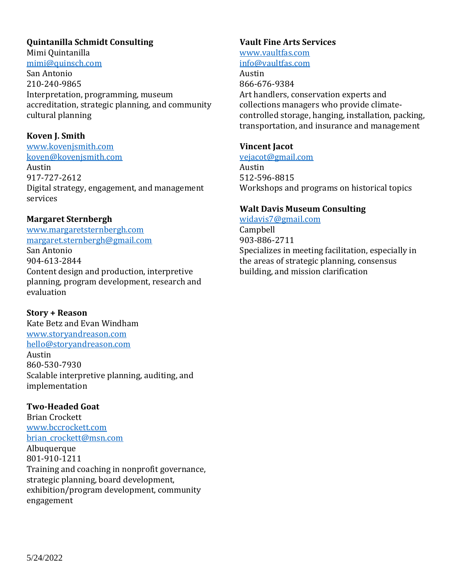#### **Quintanilla Schmidt Consulting**

Mimi Quintanilla [mimi@quinsch.com](mailto:mimi@quinsch.com)

San Antonio 210-240-9865 Interpretation, programming, museum accreditation, strategic planning, and community cultural planning

### **Koven J. Smith**

[www.kovenjsmith.com](http://www.kovenjsmith.com/) [koven@kovenjsmith.com](mailto:koven@kovenjsmith.com)

Austin 917-727-2612 Digital strategy, engagement, and management services

## **Margaret Sternbergh**

[www.margaretsternbergh.com](http://www.margaretsternbergh.com/) [margaret.sternbergh@gmail.com](mailto:margaret.sternbergh@gmail.com) San Antonio 904-613-2844 Content design and production, interpretive planning, program development, research and evaluation

**Story + Reason** Kate Betz and Evan Windham [www.storyandreason.com](http://www.storyandreason.com/) [hello@storyandreason.com](mailto:hello@storyandreason.com) Austin 860-530-7930 Scalable interpretive planning, auditing, and implementation

### **Two-Headed Goat**

Brian Crockett [www.bccrockett.com](http://www.bccrockett.com/) brian crockett@msn.com Albuquerque 801-910-1211 Training and coaching in nonprofit governance, strategic planning, board development, exhibition/program development, community engagement

### **Vault Fine Arts Services**

[www.vaultfas.com](http://www.vaultfas.com/services/) [info@vaultfas.com](mailto:info@vaultfas.com) Austin 866-676-9384 Art handlers, conservation experts and collections managers who provide climatecontrolled storage, hanging, installation, packing, transportation, and insurance and management

### **Vincent Jacot**

[vejacot@gmail.com](mailto:vejacot@gmail.com) Austin 512-596-8815 Workshops and programs on historical topics

### **Walt Davis Museum Consulting**

[widavis7@gmail.com](mailto:widavis7@gmail.com)

Campbell 903-886-2711 Specializes in meeting facilitation, especially in the areas of strategic planning, consensus building, and mission clarification